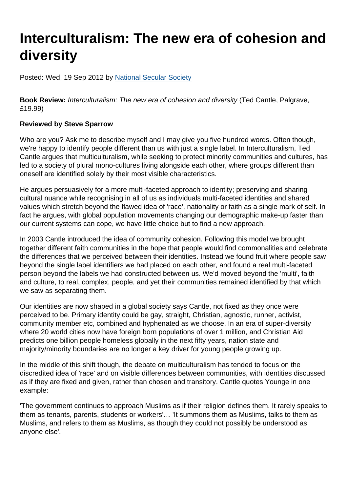## Interculturalism: The new era of cohesion and diversity

Posted: Wed, 19 Sep 2012 by [National Secular Society](https://www.secularism.org.uk/opinion/authors/855)

Book Review: Interculturalism: The new era of cohesion and diversity (Ted Cantle, Palgrave, £19.99)

## Reviewed by Steve Sparrow

Who are you? Ask me to describe myself and I may give you five hundred words. Often though, we're happy to identify people different than us with just a single label. In Interculturalism, Ted Cantle argues that multiculturalism, while seeking to protect minority communities and cultures, has led to a society of plural mono-cultures living alongside each other, where groups different than oneself are identified solely by their most visible characteristics.

He argues persuasively for a more multi-faceted approach to identity; preserving and sharing cultural nuance while recognising in all of us as individuals multi-faceted identities and shared values which stretch beyond the flawed idea of 'race', nationality or faith as a single mark of self. In fact he argues, with global population movements changing our demographic make-up faster than our current systems can cope, we have little choice but to find a new approach.

In 2003 Cantle introduced the idea of community cohesion. Following this model we brought together different faith communities in the hope that people would find commonalities and celebrate the differences that we perceived between their identities. Instead we found fruit where people saw beyond the single label identifiers we had placed on each other, and found a real multi-faceted person beyond the labels we had constructed between us. We'd moved beyond the 'multi', faith and culture, to real, complex, people, and yet their communities remained identified by that which we saw as separating them.

Our identities are now shaped in a global society says Cantle, not fixed as they once were perceived to be. Primary identity could be gay, straight, Christian, agnostic, runner, activist, community member etc, combined and hyphenated as we choose. In an era of super-diversity where 20 world cities now have foreign born populations of over 1 million, and Christian Aid predicts one billion people homeless globally in the next fifty years, nation state and majority/minority boundaries are no longer a key driver for young people growing up.

In the middle of this shift though, the debate on multiculturalism has tended to focus on the discredited idea of 'race' and on visible differences between communities, with identities discussed as if they are fixed and given, rather than chosen and transitory. Cantle quotes Younge in one example:

'The government continues to approach Muslims as if their religion defines them. It rarely speaks to them as tenants, parents, students or workers'… 'It summons them as Muslims, talks to them as Muslims, and refers to them as Muslims, as though they could not possibly be understood as anyone else'.